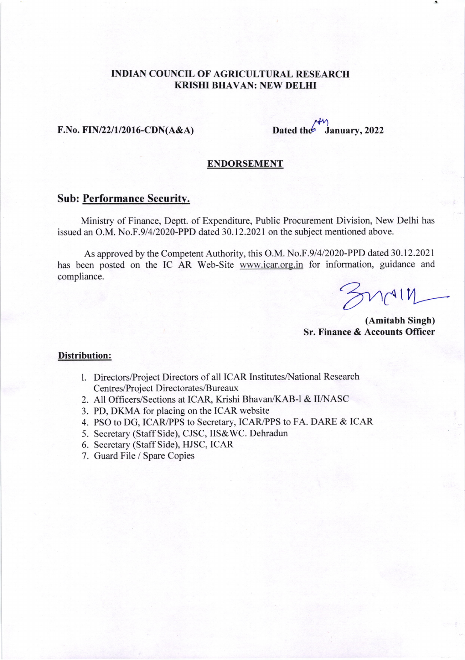# INDIAN COUNCIL OF AGRICULTURAL RESEARCH KRISHI BHAVAN: NEW DELHI

## $F.No. FIN/22/1/2016-CDN(A&A)$

 $/$ Dated the January, 2022

## ENDORSEMENT

## Sub: Performance Securitv.

Ministry of Finance, Deptt. of Expenditure, Public Procurement Division, New Delhi has issued an O.M. No.F.9/4/2020-PPD dated 30.12.2021 on the subject mentioned above.

As approved by the Competent Authority, this O.M. No.F.91412020-PPD dated 30.12.2021 has been posted on the IC AR Web-Site www.icar.org.in for information, guidance and compliance.

 $m$ 

(Amitabh Singh) Sr. Finance & Accounts Officer

### Distribution:

- l. Directors/Project Directors of all ICAR Institutes/National Research Centres/Project Directorates/Bureaux
- 2. All Officers/Sections at ICAR, Krishi Bhavan/KAB-l & II/NASC
- 3. PD, DKMA for placing on the ICAR website
- 4. PSO to DG, ICAR/PPS to Secretary, ICAR/PPS to FA. DARE & ICAR
- 5. Secretary (Staff Side), CJSC, IIS&WC. Dehradun
- 6. Secretary (Staff Side), HJSC, ICAR
- 7. Guard File / Spare Copies